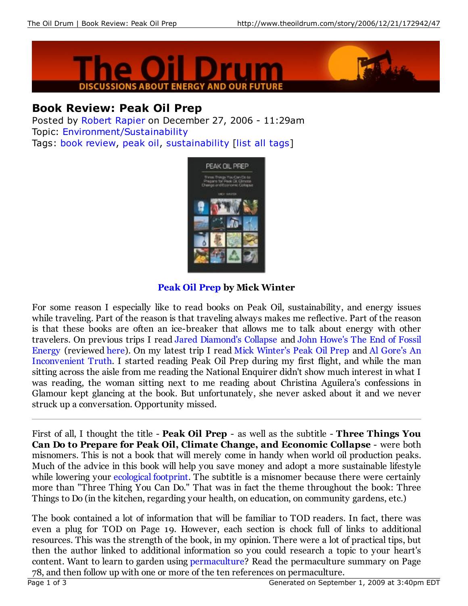



# **Book Review: Peak Oil Prep**

Posted by Robert Rapier on December 27, 2006 - 11:29am Topic: Environment/Sustainability Tags: book review, peak oil, sustainability [list all tags]



## **Peak Oil Prep by Mick Winter**

For some reason I especially like to read books on Peak Oil, sustainability, and energy issues while traveling. Part of the reason is that traveling always makes me reflective. Part of the reason is that these books are often an ice-breaker that allows me to talk about energy with other travelers. On previous trips I read Jared Diamond's Collapse and John Howe's The End of Fossil Energy (reviewed here). On my latest trip I read Mick Winter's Peak Oil Prep and Al Gore's An Inconvenient Truth. I started reading Peak Oil Prep during my first flight, and while the man sitting across the aisle from me reading the National Enquirer didn't show much interest in what I was reading, the woman sitting next to me reading about Christina Aguilera's confessions in Glamour kept glancing at the book. But unfortunately, she never asked about it and we never struck up a conversation. Opportunity missed.

First of all, I thought the title - **Peak Oil Prep** - as well as the subtitle - **Three Things You Can Do to Prepare for Peak Oil, Climate Change, and Economic Collapse** - were both misnomers. This is not a book that will merely come in handy when world oil production peaks. Much of the advice in this book will help you save money and adopt a more sustainable lifestyle while lowering your ecological footprint. The subtitle is a misnomer because there were certainly more than "Three Thing You Can Do." That was in fact the theme throughout the book: Three Things to Do (in the kitchen, regarding your health, on education, on community gardens, etc.)

The book contained a lot of information that will be familiar to TOD readers. In fact, there was even a plug for TOD on Page 19. However, each section is chock full of links to additional resources. This was the strength of the book, in my opinion. There were a lot of practical tips, but then the author linked to additional information so you could research a topic to your heart's content. Want to learn to garden using permaculture? Read the permaculture summary on Page 78, and then follow up with one or more of the ten references on permaculture.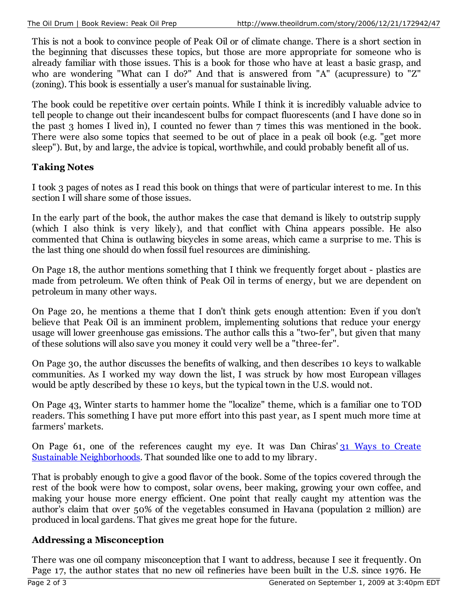This is not a book to convince people of Peak Oil or of climate change. There is a short section in the beginning that discusses these topics, but those are more appropriate for someone who is already familiar with those issues. This is a book for those who have at least a basic grasp, and who are wondering "What can I do?" And that is answered from "A" (acupressure) to "Z" (zoning). This book is essentially a user's manual for sustainable living.

The book could be repetitive over certain points. While I think it is incredibly valuable advice to tell people to change out their incandescent bulbs for compact fluorescents (and I have done so in the past 3 homes I lived in), I counted no fewer than 7 times this was mentioned in the book. There were also some topics that seemed to be out of place in a peak oil book (e.g. "get more sleep"). But, by and large, the advice is topical, worthwhile, and could probably benefit all of us.

#### **Taking Notes**

I took 3 pages of notes as I read this book on things that were of particular interest to me. In this section I will share some of those issues.

In the early part of the book, the author makes the case that demand is likely to outstrip supply (which I also think is very likely), and that conflict with China appears possible. He also commented that China is outlawing bicycles in some areas, which came a surprise to me. This is the last thing one should do when fossil fuel resources are diminishing.

On Page 18, the author mentions something that I think we frequently forget about - plastics are made from petroleum. We often think of Peak Oil in terms of energy, but we are dependent on petroleum in many other ways.

On Page 20, he mentions a theme that I don't think gets enough attention: Even if you don't believe that Peak Oil is an imminent problem, implementing solutions that reduce your energy usage will lower greenhouse gas emissions. The author calls this a "two-fer", but given that many of these solutions will also save you money it could very well be a "three-fer".

On Page 30, the author discusses the benefits of walking, and then describes 10 keys to walkable communities. As I worked my way down the list, I was struck by how most European villages would be aptly described by these 10 keys, but the typical town in the U.S. would not.

On Page 43, Winter starts to hammer home the "localize" theme, which is a familiar one to TOD readers. This something I have put more effort into this past year, as I spent much more time at farmers' markets.

On Page 61, one of the references caught my eye. It was Dan Chiras' 31 Ways to Create Sustainable Neighborhoods. That sounded like one to add to my library.

That is probably enough to give a good flavor of the book. Some of the topics covered through the rest of the book were how to compost, solar ovens, beer making, growing your own coffee, and making your house more energy efficient. One point that really caught my attention was the author's claim that over 50% of the vegetables consumed in Havana (population 2 million) are produced in local gardens. That gives me great hope for the future.

### **Addressing a Misconception**

There was one oil company misconception that I want to address, because I see it frequently. On Page 17, the author states that no new oil refineries have been built in the U.S. since 1976. He